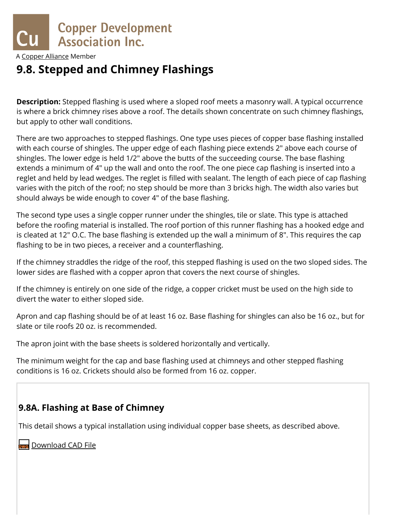

A [Copper Alliance](http://copperalliance.org/) Member

# **9.8. Stepped and Chimney Flashings**

**Description:** Stepped flashing is used where a sloped roof meets a masonry wall. A typical occurrence is where a brick chimney rises above a roof. The details shown concentrate on such chimney flashings, but apply to other wall conditions.

There are two approaches to stepped flashings. One type uses pieces of copper base flashing installed with each course of shingles. The upper edge of each flashing piece extends 2" above each course of shingles. The lower edge is held 1/2" above the butts of the succeeding course. The base flashing extends a minimum of 4" up the wall and onto the roof. The one piece cap flashing is inserted into a reglet and held by lead wedges. The reglet is filled with sealant. The length of each piece of cap flashing varies with the pitch of the roof; no step should be more than 3 bricks high. The width also varies but should always be wide enough to cover 4" of the base flashing.

The second type uses a single copper runner under the shingles, tile or slate. This type is attached before the roofing material is installed. The roof portion of this runner flashing has a hooked edge and is cleated at 12" O.C. The base flashing is extended up the wall a minimum of 8". This requires the cap flashing to be in two pieces, a receiver and a counterflashing.

If the chimney straddles the ridge of the roof, this stepped flashing is used on the two sloped sides. The lower sides are flashed with a copper apron that covers the next course of shingles.

If the chimney is entirely on one side of the ridge, a copper cricket must be used on the high side to divert the water to either sloped side.

Apron and cap flashing should be of at least 16 oz. Base flashing for shingles can also be 16 oz., but for slate or tile roofs 20 oz. is recommended.

The apron joint with the base sheets is soldered horizontally and vertically.

The minimum weight for the cap and base flashing used at chimneys and other stepped flashing conditions is 16 oz. Crickets should also be formed from 16 oz. copper.

### **9.8A. Flashing at Base of Chimney**

This detail shows a typical installation using individual copper base sheets, as described above.

https://www.copper.org/applications/architecture/arch\_dhb/arch-details/flashings\_copings/chimney.html 1/6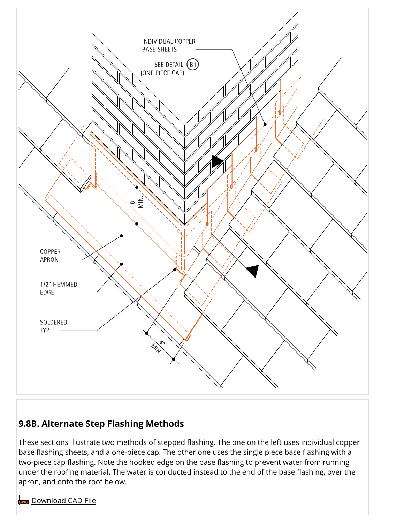

# **9.8B. Alternate Step Flashing Methods**

These sections illustrate two methods of stepped flashing. The one on the left uses individual copper base flashing sheets, and a one-piece cap. The other one uses the single piece base flashing with a two-piece cap flashing. Note the hooked edge on the base flashing to prevent water from running under the roofing material. The water is conducted instead to the end of the base flashing, over the apron, and onto the roof below.

https://www.copper.org/applications/architecture/arch\_dhb/arch-details/flashings\_copings/chimney.html 2/6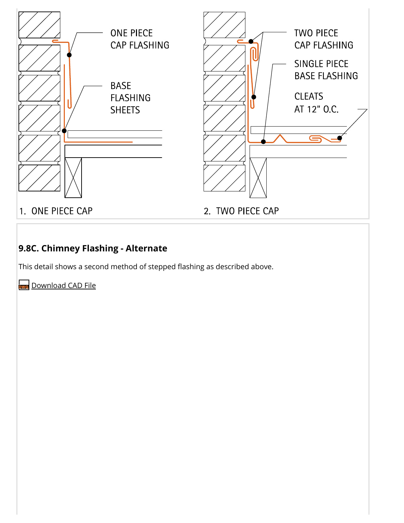

https://www.copper.org/applications/architecture/arch\_dhb/arch-details/flashings\_copings/chimney.html 3/6

# **9.8C. Chimney Flashing - Alternate**

This detail shows a second method of stepped flashing as described above.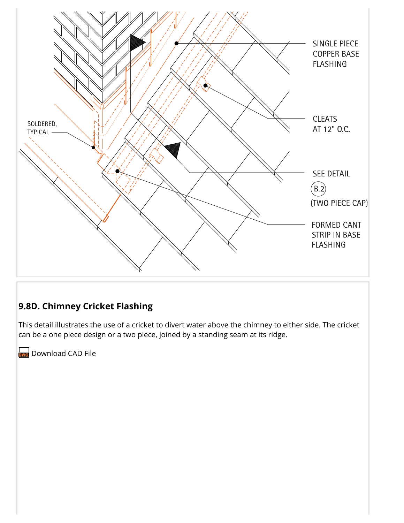

### **9.8D. Chimney Cricket Flashing**

This detail illustrates the use of a cricket to divert water above the chimney to either side. The cricket can be a one piece design or a two piece, joined by a standing seam at its ridge.

https://www.copper.org/applications/architecture/arch\_dhb/arch-details/flashings\_copings/chimney.html 4/6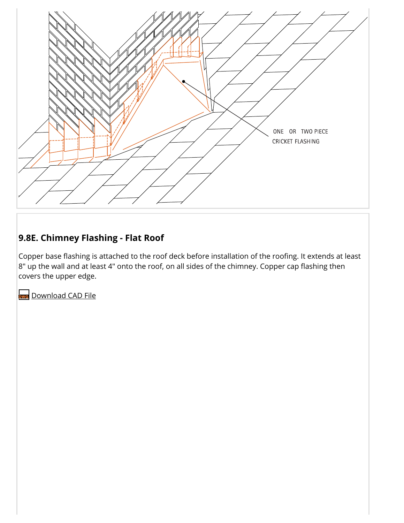

# **9.8E. Chimney Flashing - Flat Roof**

Copper base flashing is attached to the roof deck before installation of the roofing. It extends at least  $8"$  up the wall and at least 4" onto the roof, on all sides of the chimney. Copper cap flashing then covers the upper edge.

https://www.copper.org/applications/architecture/arch\_dhb/arch-details/flashings\_copings/chimney.html 5/6